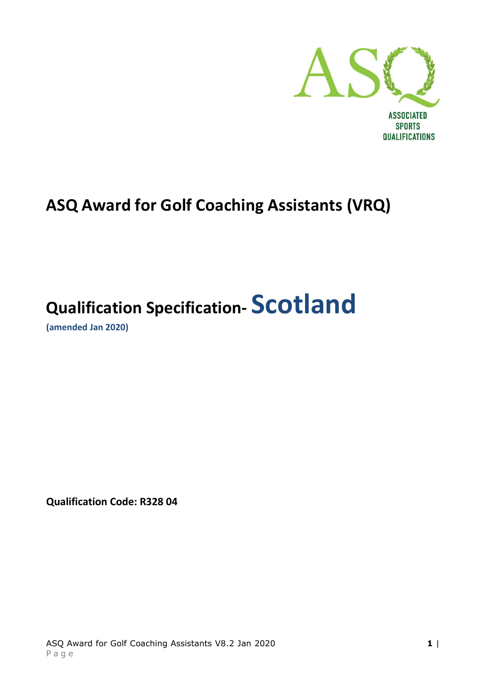

# **ASQ Award for Golf Coaching Assistants (VRQ)**

# **Qualification Specification- Scotland**

**(amended Jan 2020)**

**Qualification Code: R328 04**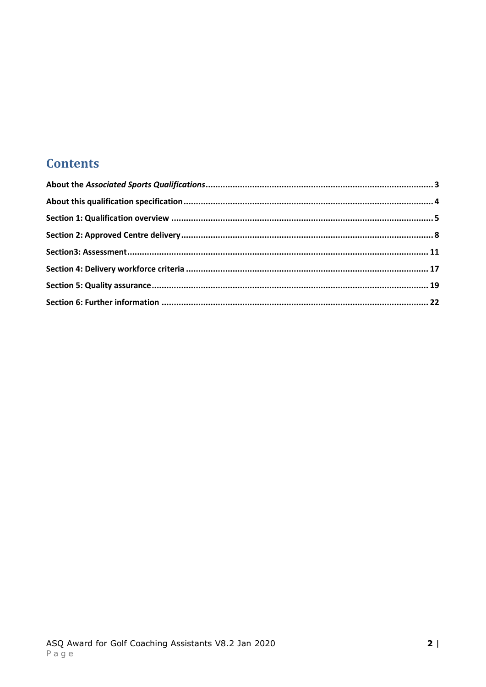# **Contents**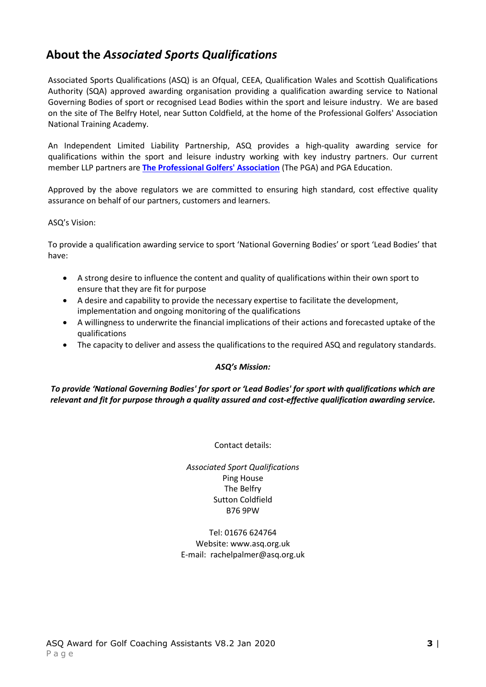# <span id="page-2-0"></span>**About the** *Associated Sports Qualifications*

Associated Sports Qualifications (ASQ) is an Ofqual, CEEA, Qualification Wales and Scottish Qualifications Authority (SQA) approved awarding organisation providing a qualification awarding service to National Governing Bodies of sport or recognised Lead Bodies within the sport and leisure industry. We are based on the site of The Belfry Hotel, near Sutton Coldfield, at the home of the Professional Golfers' Association National Training Academy.

An Independent Limited Liability Partnership, ASQ provides a high-quality awarding service for qualifications within the sport and leisure industry working with key industry partners. Our current member LLP partners are **[The Professional Golfers' Association](http://www.pga.info/)** (The PGA) and PGA Education.

Approved by the above regulators we are committed to ensuring high standard, cost effective quality assurance on behalf of our partners, customers and learners.

ASQ's Vision:

To provide a qualification awarding service to sport 'National Governing Bodies' or sport 'Lead Bodies' that have:

- A strong desire to influence the content and quality of qualifications within their own sport to ensure that they are fit for purpose
- A desire and capability to provide the necessary expertise to facilitate the development, implementation and ongoing monitoring of the qualifications
- A willingness to underwrite the financial implications of their actions and forecasted uptake of the qualifications
- The capacity to deliver and assess the qualifications to the required ASQ and regulatory standards.

#### *ASQ's Mission:*

*To provide 'National Governing Bodies' for sport or 'Lead Bodies' for sport with qualifications which are relevant and fit for purpose through a quality assured and cost-effective qualification awarding service.*

Contact details:

*Associated Sport Qualifications* Ping House The Belfry Sutton Coldfield B76 9PW

Tel: 01676 624764 Website: www.asq.org.uk E-mail: rachelpalmer@asq.org.uk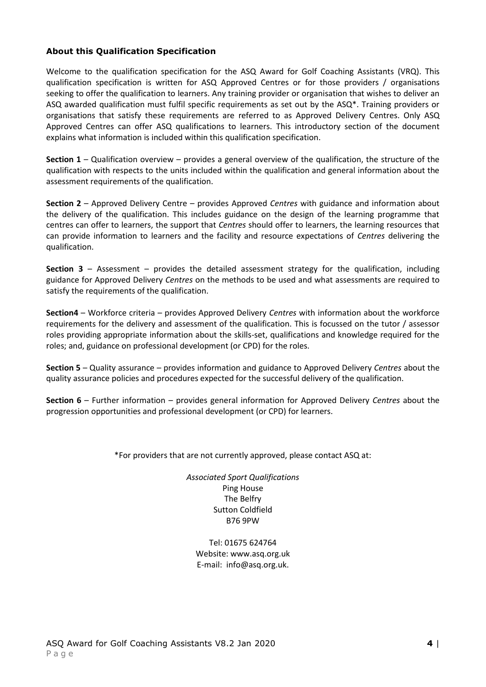#### <span id="page-3-0"></span>**About this Qualification Specification**

Welcome to the qualification specification for the ASQ Award for Golf Coaching Assistants (VRQ). This qualification specification is written for ASQ Approved Centres or for those providers / organisations seeking to offer the qualification to learners. Any training provider or organisation that wishes to deliver an ASQ awarded qualification must fulfil specific requirements as set out by the ASQ\*. Training providers or organisations that satisfy these requirements are referred to as Approved Delivery Centres. Only ASQ Approved Centres can offer ASQ qualifications to learners. This introductory section of the document explains what information is included within this qualification specification.

**Section 1** – Qualification overview – provides a general overview of the qualification, the structure of the qualification with respects to the units included within the qualification and general information about the assessment requirements of the qualification.

**Section 2** – Approved Delivery Centre – provides Approved *Centres* with guidance and information about the delivery of the qualification. This includes guidance on the design of the learning programme that centres can offer to learners, the support that *Centres* should offer to learners, the learning resources that can provide information to learners and the facility and resource expectations of *Centres* delivering the qualification.

**Section 3** – Assessment – provides the detailed assessment strategy for the qualification, including guidance for Approved Delivery *Centres* on the methods to be used and what assessments are required to satisfy the requirements of the qualification.

**Section4** – Workforce criteria – provides Approved Delivery *Centres* with information about the workforce requirements for the delivery and assessment of the qualification. This is focussed on the tutor / assessor roles providing appropriate information about the skills-set, qualifications and knowledge required for the roles; and, guidance on professional development (or CPD) for the roles.

**Section 5** – Quality assurance – provides information and guidance to Approved Delivery *Centres* about the quality assurance policies and procedures expected for the successful delivery of the qualification.

**Section 6** – Further information – provides general information for Approved Delivery *Centres* about the progression opportunities and professional development (or CPD) for learners.

\*For providers that are not currently approved, please contact ASQ at:

*Associated Sport Qualifications* Ping House The Belfry Sutton Coldfield B76 9PW

<span id="page-3-1"></span>Tel: 01675 624764 Website: www.asq.org.uk E-mail: info@asq.org.uk.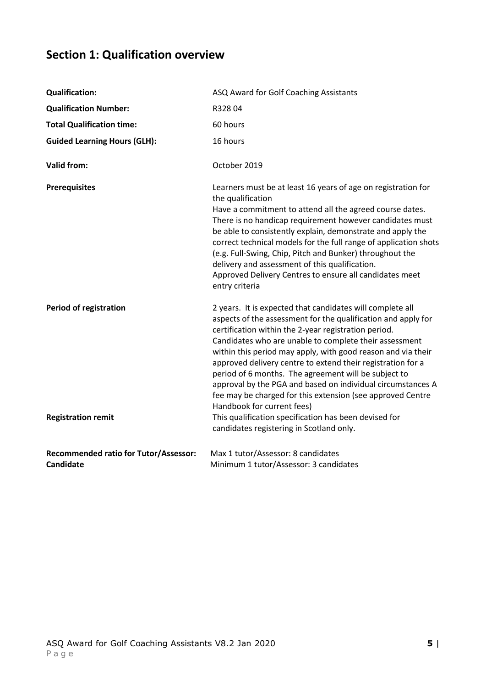# **Section 1: Qualification overview**

| <b>Qualification:</b>                                            | ASQ Award for Golf Coaching Assistants                                                                                                                                                                                                                                                                                                                                                                                                                                                                                                                                                                                                                  |
|------------------------------------------------------------------|---------------------------------------------------------------------------------------------------------------------------------------------------------------------------------------------------------------------------------------------------------------------------------------------------------------------------------------------------------------------------------------------------------------------------------------------------------------------------------------------------------------------------------------------------------------------------------------------------------------------------------------------------------|
| <b>Qualification Number:</b>                                     | R32804                                                                                                                                                                                                                                                                                                                                                                                                                                                                                                                                                                                                                                                  |
| <b>Total Qualification time:</b>                                 | 60 hours                                                                                                                                                                                                                                                                                                                                                                                                                                                                                                                                                                                                                                                |
| <b>Guided Learning Hours (GLH):</b>                              | 16 hours                                                                                                                                                                                                                                                                                                                                                                                                                                                                                                                                                                                                                                                |
| <b>Valid from:</b>                                               | October 2019                                                                                                                                                                                                                                                                                                                                                                                                                                                                                                                                                                                                                                            |
| <b>Prerequisites</b>                                             | Learners must be at least 16 years of age on registration for<br>the qualification<br>Have a commitment to attend all the agreed course dates.<br>There is no handicap requirement however candidates must<br>be able to consistently explain, demonstrate and apply the<br>correct technical models for the full range of application shots<br>(e.g. Full-Swing, Chip, Pitch and Bunker) throughout the<br>delivery and assessment of this qualification.<br>Approved Delivery Centres to ensure all candidates meet<br>entry criteria                                                                                                                 |
| <b>Period of registration</b><br><b>Registration remit</b>       | 2 years. It is expected that candidates will complete all<br>aspects of the assessment for the qualification and apply for<br>certification within the 2-year registration period.<br>Candidates who are unable to complete their assessment<br>within this period may apply, with good reason and via their<br>approved delivery centre to extend their registration for a<br>period of 6 months. The agreement will be subject to<br>approval by the PGA and based on individual circumstances A<br>fee may be charged for this extension (see approved Centre<br>Handbook for current fees)<br>This qualification specification has been devised for |
|                                                                  | candidates registering in Scotland only.                                                                                                                                                                                                                                                                                                                                                                                                                                                                                                                                                                                                                |
| <b>Recommended ratio for Tutor/Assessor:</b><br><b>Candidate</b> | Max 1 tutor/Assessor: 8 candidates<br>Minimum 1 tutor/Assessor: 3 candidates                                                                                                                                                                                                                                                                                                                                                                                                                                                                                                                                                                            |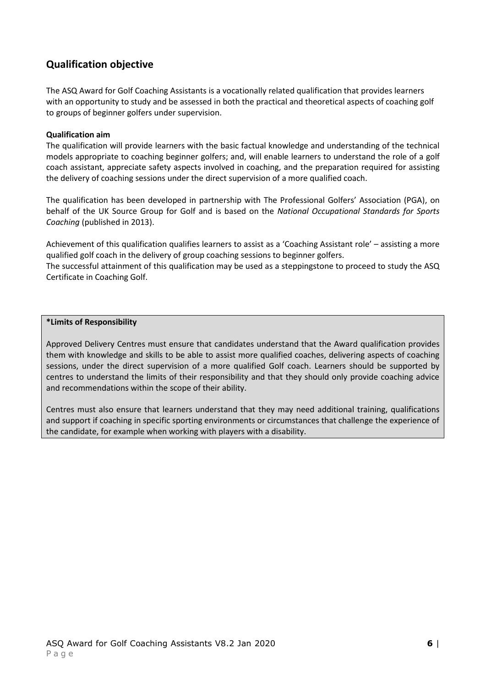# **Qualification objective**

The ASQ Award for Golf Coaching Assistants is a vocationally related qualification that provides learners with an opportunity to study and be assessed in both the practical and theoretical aspects of coaching golf to groups of beginner golfers under supervision.

#### **Qualification aim**

The qualification will provide learners with the basic factual knowledge and understanding of the technical models appropriate to coaching beginner golfers; and, will enable learners to understand the role of a golf coach assistant, appreciate safety aspects involved in coaching, and the preparation required for assisting the delivery of coaching sessions under the direct supervision of a more qualified coach.

The qualification has been developed in partnership with The Professional Golfers' Association (PGA), on behalf of the UK Source Group for Golf and is based on the *National Occupational Standards for Sports Coaching* (published in 2013).

Achievement of this qualification qualifies learners to assist as a 'Coaching Assistant role' – assisting a more qualified golf coach in the delivery of group coaching sessions to beginner golfers.

The successful attainment of this qualification may be used as a steppingstone to proceed to study the ASQ Certificate in Coaching Golf.

#### **\*Limits of Responsibility**

Approved Delivery Centres must ensure that candidates understand that the Award qualification provides them with knowledge and skills to be able to assist more qualified coaches, delivering aspects of coaching sessions, under the direct supervision of a more qualified Golf coach. Learners should be supported by centres to understand the limits of their responsibility and that they should only provide coaching advice and recommendations within the scope of their ability.

Centres must also ensure that learners understand that they may need additional training, qualifications and support if coaching in specific sporting environments or circumstances that challenge the experience of the candidate, for example when working with players with a disability.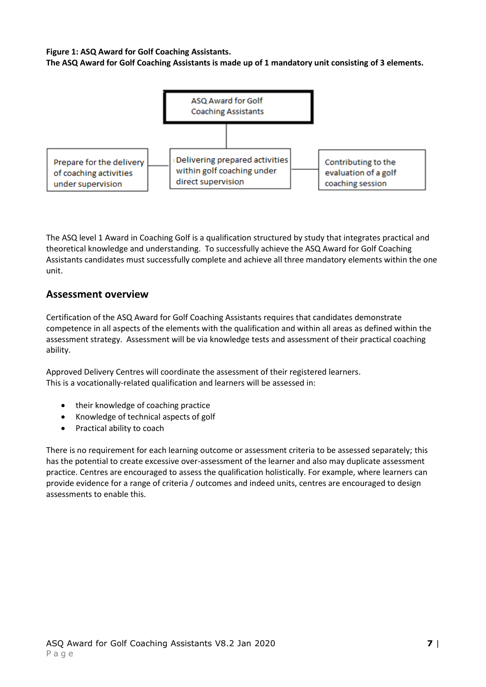**Figure 1: ASQ Award for Golf Coaching Assistants.**

**The ASQ Award for Golf Coaching Assistants is made up of 1 mandatory unit consisting of 3 elements.** 



The ASQ level 1 Award in Coaching Golf is a qualification structured by study that integrates practical and theoretical knowledge and understanding. To successfully achieve the ASQ Award for Golf Coaching Assistants candidates must successfully complete and achieve all three mandatory elements within the one unit.

#### **Assessment overview**

Certification of the ASQ Award for Golf Coaching Assistants requires that candidates demonstrate competence in all aspects of the elements with the qualification and within all areas as defined within the assessment strategy. Assessment will be via knowledge tests and assessment of their practical coaching ability.

Approved Delivery Centres will coordinate the assessment of their registered learners. This is a vocationally-related qualification and learners will be assessed in:

- their knowledge of coaching practice
- Knowledge of technical aspects of golf
- Practical ability to coach

<span id="page-6-0"></span>There is no requirement for each learning outcome or assessment criteria to be assessed separately; this has the potential to create excessive over-assessment of the learner and also may duplicate assessment practice. Centres are encouraged to assess the qualification holistically. For example, where learners can provide evidence for a range of criteria / outcomes and indeed units, centres are encouraged to design assessments to enable this.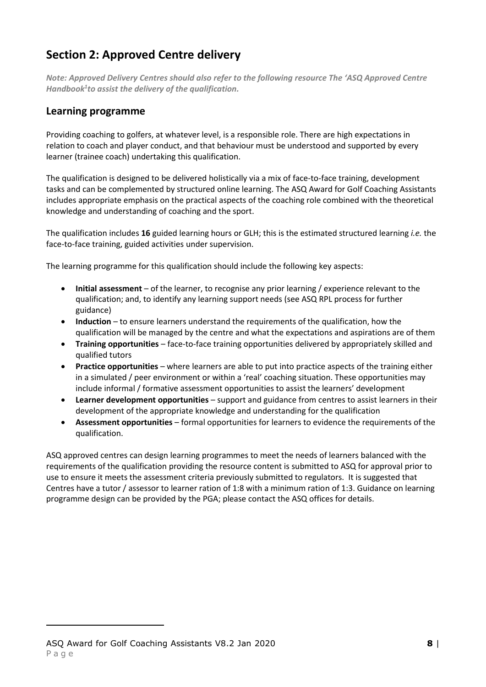# **Section 2: Approved Centre delivery**

*Note: Approved Delivery Centres should also refer to the following resource The 'ASQ Approved Centre Handbook<sup>1</sup> to assist the delivery of the qualification.*

### **Learning programme**

Providing coaching to golfers, at whatever level, is a responsible role. There are high expectations in relation to coach and player conduct, and that behaviour must be understood and supported by every learner (trainee coach) undertaking this qualification.

The qualification is designed to be delivered holistically via a mix of face-to-face training, development tasks and can be complemented by structured online learning. The ASQ Award for Golf Coaching Assistants includes appropriate emphasis on the practical aspects of the coaching role combined with the theoretical knowledge and understanding of coaching and the sport.

The qualification includes **16** guided learning hours or GLH; this is the estimated structured learning *i.e.* the face-to-face training, guided activities under supervision.

The learning programme for this qualification should include the following key aspects:

- **Initial assessment** of the learner, to recognise any prior learning / experience relevant to the qualification; and, to identify any learning support needs (see ASQ RPL process for further guidance)
- **Induction** to ensure learners understand the requirements of the qualification, how the qualification will be managed by the centre and what the expectations and aspirations are of them
- **Training opportunities** face-to-face training opportunities delivered by appropriately skilled and qualified tutors
- **Practice opportunities** where learners are able to put into practice aspects of the training either in a simulated / peer environment or within a 'real' coaching situation. These opportunities may include informal / formative assessment opportunities to assist the learners' development
- **Learner development opportunities**  support and guidance from centres to assist learners in their development of the appropriate knowledge and understanding for the qualification
- **Assessment opportunities** formal opportunities for learners to evidence the requirements of the qualification.

ASQ approved centres can design learning programmes to meet the needs of learners balanced with the requirements of the qualification providing the resource content is submitted to ASQ for approval prior to use to ensure it meets the assessment criteria previously submitted to regulators. It is suggested that Centres have a tutor / assessor to learner ration of 1:8 with a minimum ration of 1:3. Guidance on learning programme design can be provided by the PGA; please contact the ASQ offices for details.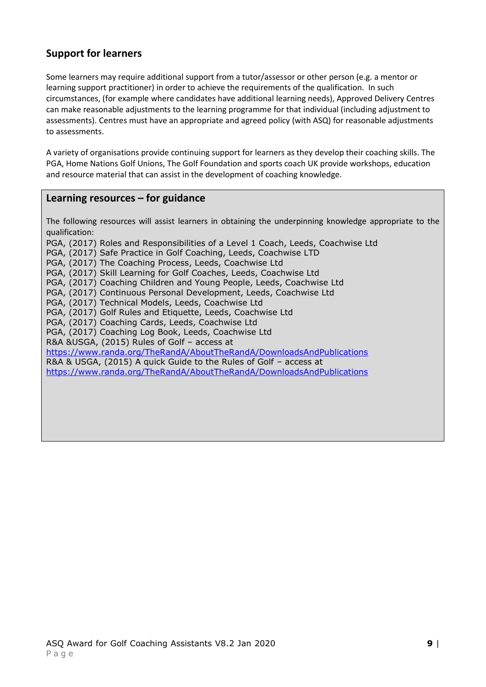# **Support for learners**

Some learners may require additional support from a tutor/assessor or other person (e.g. a mentor or learning support practitioner) in order to achieve the requirements of the qualification. In such circumstances, (for example where candidates have additional learning needs), Approved Delivery Centres can make reasonable adjustments to the learning programme for that individual (including adjustment to assessments). Centres must have an appropriate and agreed policy (with ASQ) for reasonable adjustments to assessments.

A variety of organisations provide continuing support for learners as they develop their coaching skills. The PGA, Home Nations Golf Unions, The Golf Foundation and sports coach UK provide workshops, education and resource material that can assist in the development of coaching knowledge.

#### **Learning resources – for guidance**

The following resources will assist learners in obtaining the underpinning knowledge appropriate to the qualification:

PGA, (2017) Roles and Responsibilities of a Level 1 Coach, Leeds, Coachwise Ltd

PGA, (2017) Safe Practice in Golf Coaching, Leeds, Coachwise LTD

PGA, (2017) The Coaching Process, Leeds, Coachwise Ltd

PGA, (2017) Skill Learning for Golf Coaches, Leeds, Coachwise Ltd

PGA, (2017) Coaching Children and Young People, Leeds, Coachwise Ltd

PGA, (2017) Continuous Personal Development, Leeds, Coachwise Ltd

PGA, (2017) Technical Models, Leeds, Coachwise Ltd

PGA, (2017) Golf Rules and Etiquette, Leeds, Coachwise Ltd

PGA, (2017) Coaching Cards, Leeds, Coachwise Ltd

PGA, (2017) Coaching Log Book, Leeds, Coachwise Ltd

R&A &USGA, (2015) Rules of Golf – access at

<https://www.randa.org/TheRandA/AboutTheRandA/DownloadsAndPublications>

R&A & USGA, (2015) A quick Guide to the Rules of Golf – access at

<https://www.randa.org/TheRandA/AboutTheRandA/DownloadsAndPublications>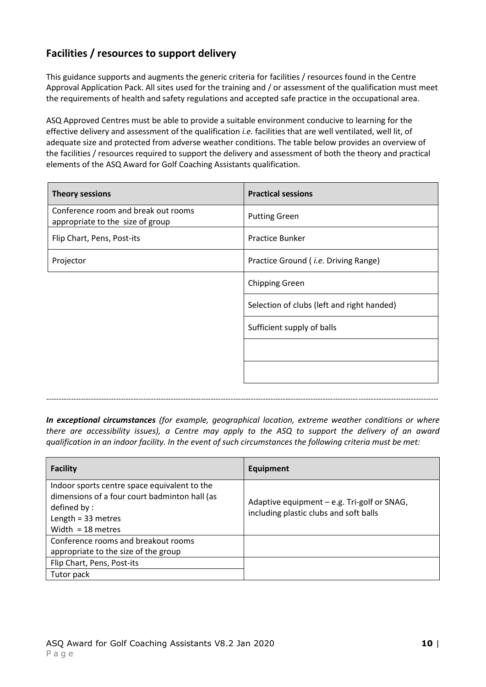# **Facilities / resources to support delivery**

This guidance supports and augments the generic criteria for facilities / resources found in the Centre Approval Application Pack. All sites used for the training and / or assessment of the qualification must meet the requirements of health and safety regulations and accepted safe practice in the occupational area.

ASQ Approved Centres must be able to provide a suitable environment conducive to learning for the effective delivery and assessment of the qualification *i.e.* facilities that are well ventilated, well lit, of adequate size and protected from adverse weather conditions. The table below provides an overview of the facilities / resources required to support the delivery and assessment of both the theory and practical elements of the ASQ Award for Golf Coaching Assistants qualification.

| <b>Theory sessions</b>                                                  | <b>Practical sessions</b>                    |
|-------------------------------------------------------------------------|----------------------------------------------|
| Conference room and break out rooms<br>appropriate to the size of group | <b>Putting Green</b>                         |
| Flip Chart, Pens, Post-its                                              | <b>Practice Bunker</b>                       |
| Projector                                                               | Practice Ground ( <i>i.e.</i> Driving Range) |
|                                                                         | <b>Chipping Green</b>                        |
|                                                                         | Selection of clubs (left and right handed)   |
|                                                                         | Sufficient supply of balls                   |
|                                                                         |                                              |
|                                                                         |                                              |
|                                                                         |                                              |

*In exceptional circumstances (for example, geographical location, extreme weather conditions or where there are accessibility issues), a Centre may apply to the ASQ to support the delivery of an award qualification in an indoor facility. In the event of such circumstances the following criteria must be met:*

*-------------------------------------------------------------------------------------------------------------------------------------------------------------*

| <b>Facility</b>                                                                                                                                             | Equipment                                                                             |
|-------------------------------------------------------------------------------------------------------------------------------------------------------------|---------------------------------------------------------------------------------------|
| Indoor sports centre space equivalent to the<br>dimensions of a four court badminton hall (as<br>defined by:<br>Length = $33$ metres<br>Width = $18$ metres | Adaptive equipment - e.g. Tri-golf or SNAG,<br>including plastic clubs and soft balls |
| Conference rooms and breakout rooms<br>appropriate to the size of the group                                                                                 |                                                                                       |
| Flip Chart, Pens, Post-its                                                                                                                                  |                                                                                       |
| Tutor pack                                                                                                                                                  |                                                                                       |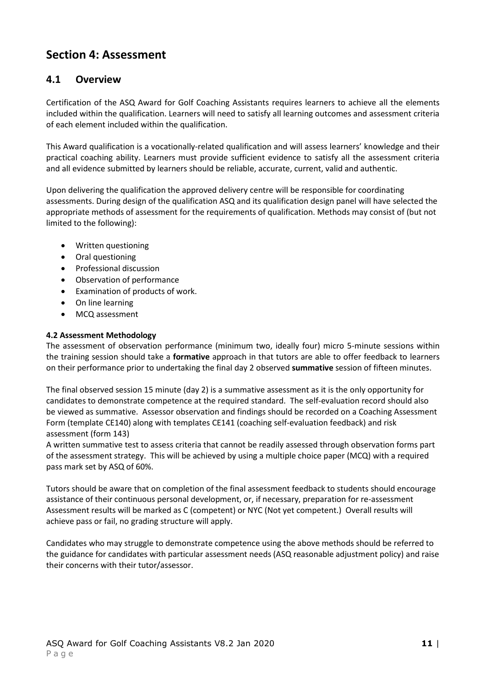# <span id="page-10-0"></span>**Section 4: Assessment**

#### **4.1 Overview**

Certification of the ASQ Award for Golf Coaching Assistants requires learners to achieve all the elements included within the qualification. Learners will need to satisfy all learning outcomes and assessment criteria of each element included within the qualification.

This Award qualification is a vocationally-related qualification and will assess learners' knowledge and their practical coaching ability. Learners must provide sufficient evidence to satisfy all the assessment criteria and all evidence submitted by learners should be reliable, accurate, current, valid and authentic.

Upon delivering the qualification the approved delivery centre will be responsible for coordinating assessments. During design of the qualification ASQ and its qualification design panel will have selected the appropriate methods of assessment for the requirements of qualification. Methods may consist of (but not limited to the following):

- Written questioning
- Oral questioning
- Professional discussion
- Observation of performance
- Examination of products of work.
- On line learning
- MCQ assessment

#### **4.2 Assessment Methodology**

The assessment of observation performance (minimum two, ideally four) micro 5-minute sessions within the training session should take a **formative** approach in that tutors are able to offer feedback to learners on their performance prior to undertaking the final day 2 observed **summative** session of fifteen minutes.

The final observed session 15 minute (day 2) is a summative assessment as it is the only opportunity for candidates to demonstrate competence at the required standard. The self-evaluation record should also be viewed as summative. Assessor observation and findings should be recorded on a Coaching Assessment Form (template CE140) along with templates CE141 (coaching self-evaluation feedback) and risk assessment (form 143)

A written summative test to assess criteria that cannot be readily assessed through observation forms part of the assessment strategy. This will be achieved by using a multiple choice paper (MCQ) with a required pass mark set by ASQ of 60%.

Tutors should be aware that on completion of the final assessment feedback to students should encourage assistance of their continuous personal development, or, if necessary, preparation for re-assessment Assessment results will be marked as C (competent) or NYC (Not yet competent.) Overall results will achieve pass or fail, no grading structure will apply.

Candidates who may struggle to demonstrate competence using the above methods should be referred to the guidance for candidates with particular assessment needs (ASQ reasonable adjustment policy) and raise their concerns with their tutor/assessor.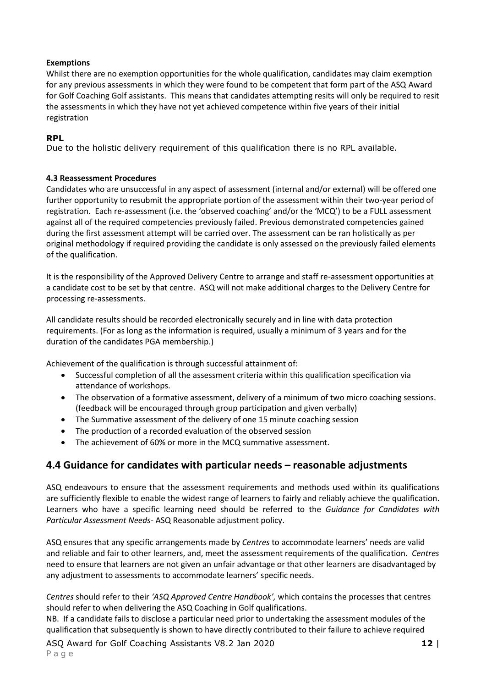#### **Exemptions**

Whilst there are no exemption opportunities for the whole qualification, candidates may claim exemption for any previous assessments in which they were found to be competent that form part of the ASQ Award for Golf Coaching Golf assistants. This means that candidates attempting resits will only be required to resit the assessments in which they have not yet achieved competence within five years of their initial registration

#### **RPL**

Due to the holistic delivery requirement of this qualification there is no RPL available.

#### **4.3 Reassessment Procedures**

Candidates who are unsuccessful in any aspect of assessment (internal and/or external) will be offered one further opportunity to resubmit the appropriate portion of the assessment within their two-year period of registration. Each re-assessment (i.e. the 'observed coaching' and/or the 'MCQ') to be a FULL assessment against all of the required competencies previously failed. Previous demonstrated competencies gained during the first assessment attempt will be carried over. The assessment can be ran holistically as per original methodology if required providing the candidate is only assessed on the previously failed elements of the qualification.

It is the responsibility of the Approved Delivery Centre to arrange and staff re-assessment opportunities at a candidate cost to be set by that centre. ASQ will not make additional charges to the Delivery Centre for processing re-assessments.

All candidate results should be recorded electronically securely and in line with data protection requirements. (For as long as the information is required, usually a minimum of 3 years and for the duration of the candidates PGA membership.)

Achievement of the qualification is through successful attainment of:

- Successful completion of all the assessment criteria within this qualification specification via attendance of workshops.
- The observation of a formative assessment, delivery of a minimum of two micro coaching sessions. (feedback will be encouraged through group participation and given verbally)
- The Summative assessment of the delivery of one 15 minute coaching session
- The production of a recorded evaluation of the observed session
- The achievement of 60% or more in the MCQ summative assessment.

### **4.4 Guidance for candidates with particular needs – reasonable adjustments**

ASQ endeavours to ensure that the assessment requirements and methods used within its qualifications are sufficiently flexible to enable the widest range of learners to fairly and reliably achieve the qualification. Learners who have a specific learning need should be referred to the *Guidance for Candidates with Particular Assessment Needs*- ASQ Reasonable adjustment policy.

ASQ ensures that any specific arrangements made by *Centres* to accommodate learners' needs are valid and reliable and fair to other learners, and, meet the assessment requirements of the qualification. *Centres* need to ensure that learners are not given an unfair advantage or that other learners are disadvantaged by any adjustment to assessments to accommodate learners' specific needs.

*Centres* should refer to their *'ASQ Approved Centre Handbook',* which contains the processes that centres should refer to when delivering the ASQ Coaching in Golf qualifications.

NB. If a candidate fails to disclose a particular need prior to undertaking the assessment modules of the qualification that subsequently is shown to have directly contributed to their failure to achieve required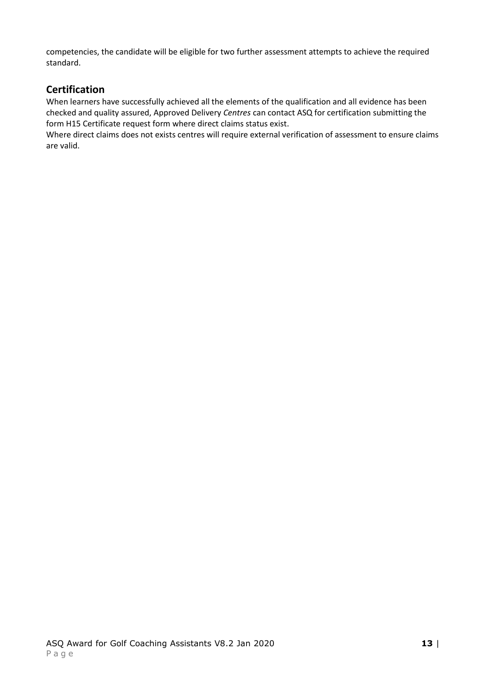competencies, the candidate will be eligible for two further assessment attempts to achieve the required standard.

## **Certification**

When learners have successfully achieved all the elements of the qualification and all evidence has been checked and quality assured, Approved Delivery *Centres* can contact ASQ for certification submitting the form H15 Certificate request form where direct claims status exist.

<span id="page-12-0"></span>Where direct claims does not exists centres will require external verification of assessment to ensure claims are valid.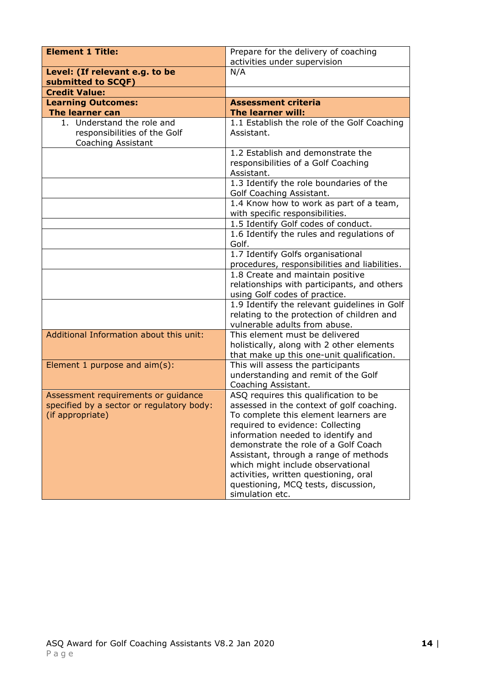| <b>Element 1 Title:</b>                                                                              | Prepare for the delivery of coaching                                                                                                                                                                                                                                                                                                                                                                                           |
|------------------------------------------------------------------------------------------------------|--------------------------------------------------------------------------------------------------------------------------------------------------------------------------------------------------------------------------------------------------------------------------------------------------------------------------------------------------------------------------------------------------------------------------------|
| Level: (If relevant e.g. to be                                                                       | activities under supervision<br>N/A                                                                                                                                                                                                                                                                                                                                                                                            |
| submitted to SCQF)                                                                                   |                                                                                                                                                                                                                                                                                                                                                                                                                                |
| <b>Credit Value:</b>                                                                                 |                                                                                                                                                                                                                                                                                                                                                                                                                                |
| <b>Learning Outcomes:</b>                                                                            | <b>Assessment criteria</b>                                                                                                                                                                                                                                                                                                                                                                                                     |
| <b>The learner can</b>                                                                               | The learner will:                                                                                                                                                                                                                                                                                                                                                                                                              |
| 1. Understand the role and<br>responsibilities of the Golf<br>Coaching Assistant                     | 1.1 Establish the role of the Golf Coaching<br>Assistant.                                                                                                                                                                                                                                                                                                                                                                      |
|                                                                                                      | 1.2 Establish and demonstrate the<br>responsibilities of a Golf Coaching<br>Assistant.                                                                                                                                                                                                                                                                                                                                         |
|                                                                                                      | 1.3 Identify the role boundaries of the<br>Golf Coaching Assistant.                                                                                                                                                                                                                                                                                                                                                            |
|                                                                                                      | 1.4 Know how to work as part of a team,<br>with specific responsibilities.                                                                                                                                                                                                                                                                                                                                                     |
|                                                                                                      | 1.5 Identify Golf codes of conduct.                                                                                                                                                                                                                                                                                                                                                                                            |
|                                                                                                      | 1.6 Identify the rules and regulations of<br>Golf.                                                                                                                                                                                                                                                                                                                                                                             |
|                                                                                                      | 1.7 Identify Golfs organisational<br>procedures, responsibilities and liabilities.                                                                                                                                                                                                                                                                                                                                             |
|                                                                                                      | 1.8 Create and maintain positive<br>relationships with participants, and others<br>using Golf codes of practice.                                                                                                                                                                                                                                                                                                               |
|                                                                                                      | 1.9 Identify the relevant guidelines in Golf<br>relating to the protection of children and<br>vulnerable adults from abuse.                                                                                                                                                                                                                                                                                                    |
| Additional Information about this unit:                                                              | This element must be delivered<br>holistically, along with 2 other elements<br>that make up this one-unit qualification.                                                                                                                                                                                                                                                                                                       |
| Element 1 purpose and aim(s):                                                                        | This will assess the participants<br>understanding and remit of the Golf<br>Coaching Assistant.                                                                                                                                                                                                                                                                                                                                |
| Assessment requirements or guidance<br>specified by a sector or regulatory body:<br>(if appropriate) | ASQ requires this qualification to be<br>assessed in the context of golf coaching.<br>To complete this element learners are<br>required to evidence: Collecting<br>information needed to identify and<br>demonstrate the role of a Golf Coach<br>Assistant, through a range of methods<br>which might include observational<br>activities, written questioning, oral<br>questioning, MCQ tests, discussion,<br>simulation etc. |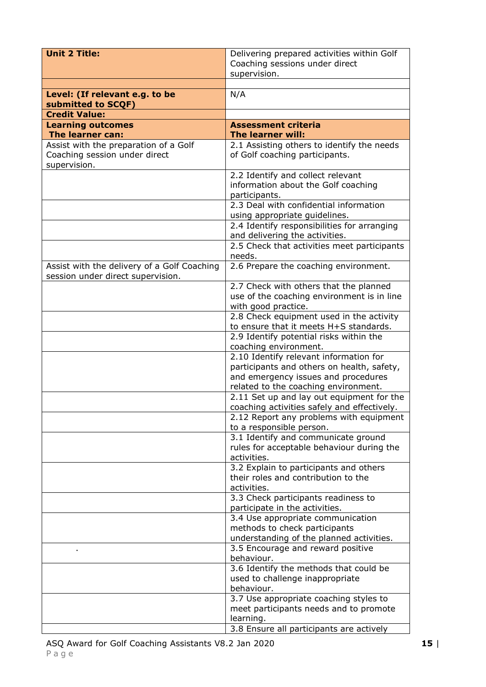| <b>Unit 2 Title:</b>                                                                   | Delivering prepared activities within Golf<br>Coaching sessions under direct                                                                                        |
|----------------------------------------------------------------------------------------|---------------------------------------------------------------------------------------------------------------------------------------------------------------------|
|                                                                                        | supervision.                                                                                                                                                        |
| Level: (If relevant e.g. to be<br>submitted to SCQF)                                   | N/A                                                                                                                                                                 |
| <b>Credit Value:</b>                                                                   |                                                                                                                                                                     |
| <b>Learning outcomes</b>                                                               | <b>Assessment criteria</b>                                                                                                                                          |
| The learner can:                                                                       | The learner will:                                                                                                                                                   |
| Assist with the preparation of a Golf<br>Coaching session under direct<br>supervision. | 2.1 Assisting others to identify the needs<br>of Golf coaching participants.                                                                                        |
|                                                                                        | 2.2 Identify and collect relevant<br>information about the Golf coaching<br>participants.                                                                           |
|                                                                                        | 2.3 Deal with confidential information<br>using appropriate guidelines.                                                                                             |
|                                                                                        | 2.4 Identify responsibilities for arranging<br>and delivering the activities.                                                                                       |
|                                                                                        | 2.5 Check that activities meet participants<br>needs.                                                                                                               |
| Assist with the delivery of a Golf Coaching<br>session under direct supervision.       | 2.6 Prepare the coaching environment.                                                                                                                               |
|                                                                                        | 2.7 Check with others that the planned<br>use of the coaching environment is in line<br>with good practice.                                                         |
|                                                                                        | 2.8 Check equipment used in the activity<br>to ensure that it meets H+S standards.                                                                                  |
|                                                                                        | 2.9 Identify potential risks within the<br>coaching environment.                                                                                                    |
|                                                                                        | 2.10 Identify relevant information for<br>participants and others on health, safety,<br>and emergency issues and procedures<br>related to the coaching environment. |
|                                                                                        | 2.11 Set up and lay out equipment for the<br>coaching activities safely and effectively.                                                                            |
|                                                                                        | 2.12 Report any problems with equipment<br>to a responsible person.                                                                                                 |
|                                                                                        | 3.1 Identify and communicate ground<br>rules for acceptable behaviour during the<br>activities.                                                                     |
|                                                                                        | 3.2 Explain to participants and others<br>their roles and contribution to the<br>activities.                                                                        |
|                                                                                        | 3.3 Check participants readiness to<br>participate in the activities.                                                                                               |
|                                                                                        | 3.4 Use appropriate communication<br>methods to check participants<br>understanding of the planned activities.                                                      |
|                                                                                        | 3.5 Encourage and reward positive<br>behaviour.                                                                                                                     |
|                                                                                        | 3.6 Identify the methods that could be<br>used to challenge inappropriate<br>behaviour.                                                                             |
|                                                                                        | 3.7 Use appropriate coaching styles to<br>meet participants needs and to promote<br>learning.                                                                       |
|                                                                                        | 3.8 Ensure all participants are actively                                                                                                                            |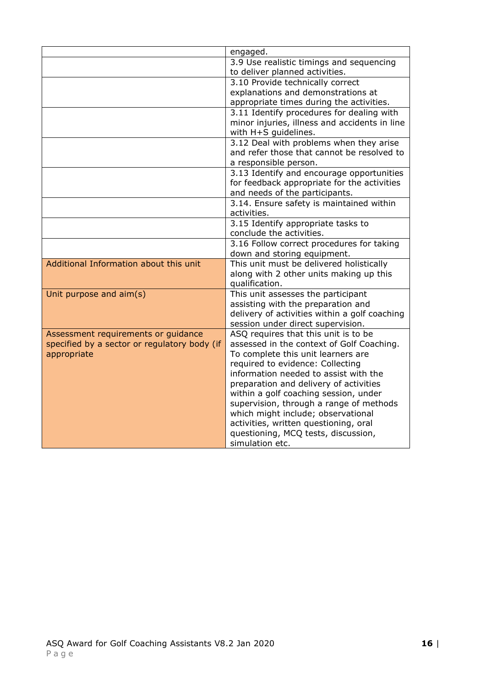|                                              | engaged.                                                              |
|----------------------------------------------|-----------------------------------------------------------------------|
|                                              | 3.9 Use realistic timings and sequencing                              |
|                                              | to deliver planned activities.                                        |
|                                              | 3.10 Provide technically correct                                      |
|                                              | explanations and demonstrations at                                    |
|                                              | appropriate times during the activities.                              |
|                                              | 3.11 Identify procedures for dealing with                             |
|                                              | minor injuries, illness and accidents in line<br>with H+S guidelines. |
|                                              | 3.12 Deal with problems when they arise                               |
|                                              | and refer those that cannot be resolved to                            |
|                                              | a responsible person.                                                 |
|                                              | 3.13 Identify and encourage opportunities                             |
|                                              | for feedback appropriate for the activities                           |
|                                              | and needs of the participants.                                        |
|                                              | 3.14. Ensure safety is maintained within                              |
|                                              | activities.                                                           |
|                                              | 3.15 Identify appropriate tasks to                                    |
|                                              | conclude the activities.                                              |
|                                              | 3.16 Follow correct procedures for taking                             |
|                                              | down and storing equipment.                                           |
| Additional Information about this unit       | This unit must be delivered holistically                              |
|                                              | along with 2 other units making up this<br>qualification.             |
|                                              | This unit assesses the participant                                    |
| Unit purpose and aim(s)                      | assisting with the preparation and                                    |
|                                              | delivery of activities within a golf coaching                         |
|                                              | session under direct supervision.                                     |
| Assessment requirements or guidance          | ASQ requires that this unit is to be                                  |
| specified by a sector or regulatory body (if | assessed in the context of Golf Coaching.                             |
| appropriate                                  | To complete this unit learners are                                    |
|                                              | required to evidence: Collecting                                      |
|                                              | information needed to assist with the                                 |
|                                              | preparation and delivery of activities                                |
|                                              | within a golf coaching session, under                                 |
|                                              | supervision, through a range of methods                               |
|                                              | which might include; observational                                    |
|                                              | activities, written questioning, oral                                 |
|                                              | questioning, MCQ tests, discussion,                                   |
|                                              | simulation etc.                                                       |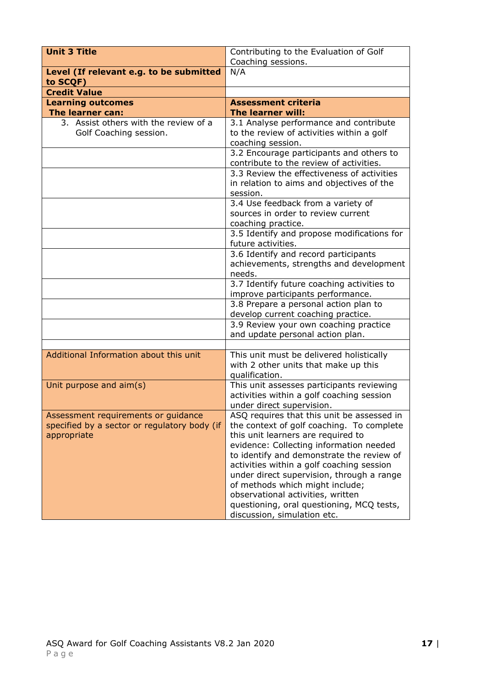| <b>Unit 3 Title</b>                                                                                | Contributing to the Evaluation of Golf                                                                                                                                                                                                                                                                                                                                                                                                                              |
|----------------------------------------------------------------------------------------------------|---------------------------------------------------------------------------------------------------------------------------------------------------------------------------------------------------------------------------------------------------------------------------------------------------------------------------------------------------------------------------------------------------------------------------------------------------------------------|
|                                                                                                    | Coaching sessions.                                                                                                                                                                                                                                                                                                                                                                                                                                                  |
| Level (If relevant e.g. to be submitted<br>to SCQF)                                                | N/A                                                                                                                                                                                                                                                                                                                                                                                                                                                                 |
| <b>Credit Value</b>                                                                                |                                                                                                                                                                                                                                                                                                                                                                                                                                                                     |
| <b>Learning outcomes</b>                                                                           | <b>Assessment criteria</b>                                                                                                                                                                                                                                                                                                                                                                                                                                          |
| The learner can:                                                                                   | The learner will:                                                                                                                                                                                                                                                                                                                                                                                                                                                   |
| 3. Assist others with the review of a<br>Golf Coaching session.                                    | 3.1 Analyse performance and contribute<br>to the review of activities within a golf<br>coaching session.                                                                                                                                                                                                                                                                                                                                                            |
|                                                                                                    | 3.2 Encourage participants and others to<br>contribute to the review of activities.                                                                                                                                                                                                                                                                                                                                                                                 |
|                                                                                                    | 3.3 Review the effectiveness of activities<br>in relation to aims and objectives of the<br>session.                                                                                                                                                                                                                                                                                                                                                                 |
|                                                                                                    | 3.4 Use feedback from a variety of<br>sources in order to review current<br>coaching practice.                                                                                                                                                                                                                                                                                                                                                                      |
|                                                                                                    | 3.5 Identify and propose modifications for<br>future activities.                                                                                                                                                                                                                                                                                                                                                                                                    |
|                                                                                                    | 3.6 Identify and record participants<br>achievements, strengths and development<br>needs.                                                                                                                                                                                                                                                                                                                                                                           |
|                                                                                                    | 3.7 Identify future coaching activities to<br>improve participants performance.                                                                                                                                                                                                                                                                                                                                                                                     |
|                                                                                                    | 3.8 Prepare a personal action plan to<br>develop current coaching practice.                                                                                                                                                                                                                                                                                                                                                                                         |
|                                                                                                    | 3.9 Review your own coaching practice<br>and update personal action plan.                                                                                                                                                                                                                                                                                                                                                                                           |
|                                                                                                    |                                                                                                                                                                                                                                                                                                                                                                                                                                                                     |
| Additional Information about this unit                                                             | This unit must be delivered holistically<br>with 2 other units that make up this<br>qualification.                                                                                                                                                                                                                                                                                                                                                                  |
| Unit purpose and aim(s)                                                                            | This unit assesses participants reviewing<br>activities within a golf coaching session<br>under direct supervision.                                                                                                                                                                                                                                                                                                                                                 |
| Assessment requirements or guidance<br>specified by a sector or regulatory body (if<br>appropriate | ASQ requires that this unit be assessed in<br>the context of golf coaching. To complete<br>this unit learners are required to<br>evidence: Collecting information needed<br>to identify and demonstrate the review of<br>activities within a golf coaching session<br>under direct supervision, through a range<br>of methods which might include;<br>observational activities, written<br>questioning, oral questioning, MCQ tests,<br>discussion, simulation etc. |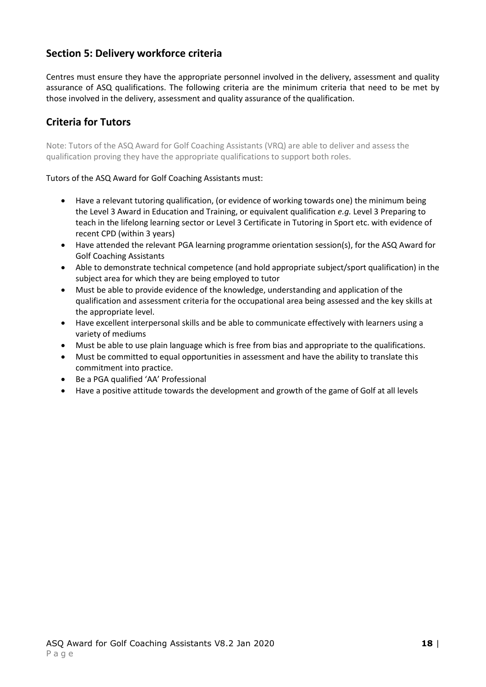## **Section 5: Delivery workforce criteria**

Centres must ensure they have the appropriate personnel involved in the delivery, assessment and quality assurance of ASQ qualifications. The following criteria are the minimum criteria that need to be met by those involved in the delivery, assessment and quality assurance of the qualification.

# **Criteria for Tutors**

Note: Tutors of the ASQ Award for Golf Coaching Assistants (VRQ) are able to deliver and assess the qualification proving they have the appropriate qualifications to support both roles.

#### Tutors of the ASQ Award for Golf Coaching Assistants must:

- Have a relevant tutoring qualification, (or evidence of working towards one) the minimum being the Level 3 Award in Education and Training, or equivalent qualification *e.g.* Level 3 Preparing to teach in the lifelong learning sector or Level 3 Certificate in Tutoring in Sport etc. with evidence of recent CPD (within 3 years)
- Have attended the relevant PGA learning programme orientation session(s), for the ASQ Award for Golf Coaching Assistants
- Able to demonstrate technical competence (and hold appropriate subject/sport qualification) in the subject area for which they are being employed to tutor
- Must be able to provide evidence of the knowledge, understanding and application of the qualification and assessment criteria for the occupational area being assessed and the key skills at the appropriate level.
- Have excellent interpersonal skills and be able to communicate effectively with learners using a variety of mediums
- Must be able to use plain language which is free from bias and appropriate to the qualifications.
- Must be committed to equal opportunities in assessment and have the ability to translate this commitment into practice.
- Be a PGA qualified 'AA' Professional
- Have a positive attitude towards the development and growth of the game of Golf at all levels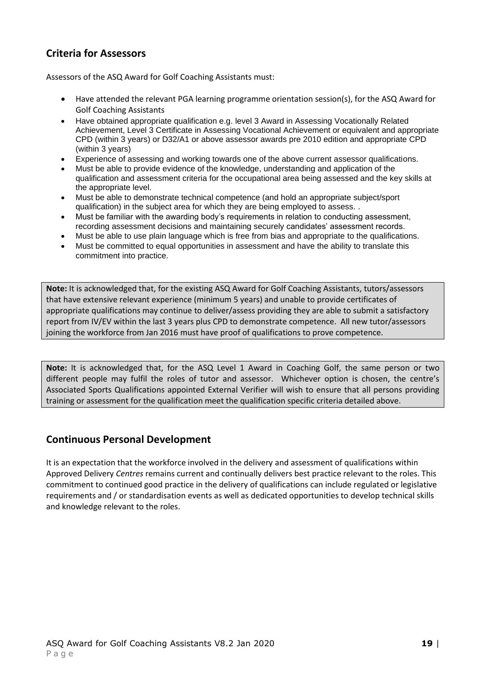# **Criteria for Assessors**

Assessors of the ASQ Award for Golf Coaching Assistants must:

- Have attended the relevant PGA learning programme orientation session(s), for the ASQ Award for Golf Coaching Assistants
- Have obtained appropriate qualification e.g. level 3 Award in Assessing Vocationally Related Achievement, Level 3 Certificate in Assessing Vocational Achievement or equivalent and appropriate CPD (within 3 years) or D32/A1 or above assessor awards pre 2010 edition and appropriate CPD (within 3 years)
- Experience of assessing and working towards one of the above current assessor qualifications.
- Must be able to provide evidence of the knowledge, understanding and application of the qualification and assessment criteria for the occupational area being assessed and the key skills at the appropriate level.
- Must be able to demonstrate technical competence (and hold an appropriate subject/sport qualification) in the subject area for which they are being employed to assess. .
- Must be familiar with the awarding body's requirements in relation to conducting assessment, recording assessment decisions and maintaining securely candidates' assessment records.
- Must be able to use plain language which is free from bias and appropriate to the qualifications.
- Must be committed to equal opportunities in assessment and have the ability to translate this commitment into practice.

**Note:** It is acknowledged that, for the existing ASQ Award for Golf Coaching Assistants, tutors/assessors that have extensive relevant experience (minimum 5 years) and unable to provide certificates of appropriate qualifications may continue to deliver/assess providing they are able to submit a satisfactory report from IV/EV within the last 3 years plus CPD to demonstrate competence. All new tutor/assessors joining the workforce from Jan 2016 must have proof of qualifications to prove competence.

**Note:** It is acknowledged that, for the ASQ Level 1 Award in Coaching Golf, the same person or two different people may fulfil the roles of tutor and assessor. Whichever option is chosen, the centre's Associated Sports Qualifications appointed External Verifier will wish to ensure that all persons providing training or assessment for the qualification meet the qualification specific criteria detailed above.

### **Continuous Personal Development**

<span id="page-18-0"></span>It is an expectation that the workforce involved in the delivery and assessment of qualifications within Approved Delivery *Centres* remains current and continually delivers best practice relevant to the roles. This commitment to continued good practice in the delivery of qualifications can include regulated or legislative requirements and / or standardisation events as well as dedicated opportunities to develop technical skills and knowledge relevant to the roles.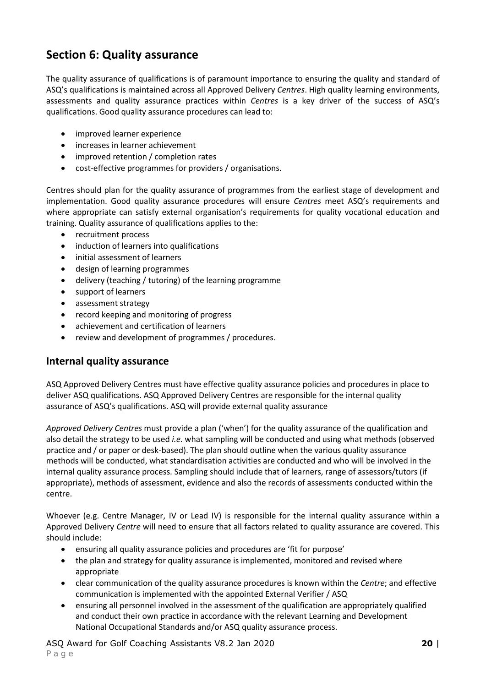# **Section 6: Quality assurance**

The quality assurance of qualifications is of paramount importance to ensuring the quality and standard of ASQ's qualifications is maintained across all Approved Delivery *Centres*. High quality learning environments, assessments and quality assurance practices within *Centres* is a key driver of the success of ASQ's qualifications. Good quality assurance procedures can lead to:

- improved learner experience
- increases in learner achievement
- improved retention / completion rates
- cost-effective programmes for providers / organisations.

Centres should plan for the quality assurance of programmes from the earliest stage of development and implementation. Good quality assurance procedures will ensure *Centres* meet ASQ's requirements and where appropriate can satisfy external organisation's requirements for quality vocational education and training. Quality assurance of qualifications applies to the:

- recruitment process
- induction of learners into qualifications
- initial assessment of learners
- design of learning programmes
- delivery (teaching / tutoring) of the learning programme
- support of learners
- assessment strategy
- record keeping and monitoring of progress
- achievement and certification of learners
- review and development of programmes / procedures.

### **Internal quality assurance**

ASQ Approved Delivery Centres must have effective quality assurance policies and procedures in place to deliver ASQ qualifications. ASQ Approved Delivery Centres are responsible for the internal quality assurance of ASQ's qualifications. ASQ will provide external quality assurance

*Approved Delivery Centres* must provide a plan ('when') for the quality assurance of the qualification and also detail the strategy to be used *i.e.* what sampling will be conducted and using what methods (observed practice and / or paper or desk-based). The plan should outline when the various quality assurance methods will be conducted, what standardisation activities are conducted and who will be involved in the internal quality assurance process. Sampling should include that of learners, range of assessors/tutors (if appropriate), methods of assessment, evidence and also the records of assessments conducted within the centre.

Whoever (e.g. Centre Manager, IV or Lead IV) is responsible for the internal quality assurance within a Approved Delivery *Centre* will need to ensure that all factors related to quality assurance are covered. This should include:

- ensuring all quality assurance policies and procedures are 'fit for purpose'
- the plan and strategy for quality assurance is implemented, monitored and revised where appropriate
- clear communication of the quality assurance procedures is known within the *Centre*; and effective communication is implemented with the appointed External Verifier / ASQ
- ensuring all personnel involved in the assessment of the qualification are appropriately qualified and conduct their own practice in accordance with the relevant Learning and Development National Occupational Standards and/or ASQ quality assurance process.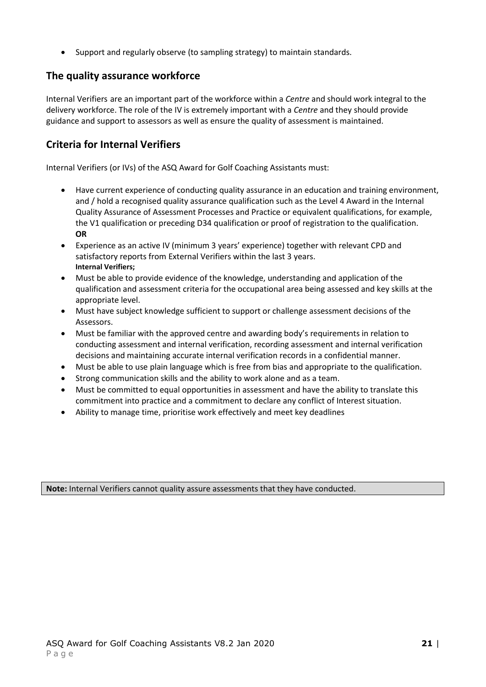• Support and regularly observe (to sampling strategy) to maintain standards.

### **The quality assurance workforce**

Internal Verifiers are an important part of the workforce within a *Centre* and should work integral to the delivery workforce. The role of the IV is extremely important with a *Centre* and they should provide guidance and support to assessors as well as ensure the quality of assessment is maintained.

## **Criteria for Internal Verifiers**

Internal Verifiers (or IVs) of the ASQ Award for Golf Coaching Assistants must:

- Have current experience of conducting quality assurance in an education and training environment, and / hold a recognised quality assurance qualification such as the Level 4 Award in the Internal Quality Assurance of Assessment Processes and Practice or equivalent qualifications, for example, the V1 qualification or preceding D34 qualification or proof of registration to the qualification. **OR**
- Experience as an active IV (minimum 3 years' experience) together with relevant CPD and satisfactory reports from External Verifiers within the last 3 years. **Internal Verifiers;**
- Must be able to provide evidence of the knowledge, understanding and application of the qualification and assessment criteria for the occupational area being assessed and key skills at the appropriate level.
- Must have subject knowledge sufficient to support or challenge assessment decisions of the Assessors.
- Must be familiar with the approved centre and awarding body's requirements in relation to conducting assessment and internal verification, recording assessment and internal verification decisions and maintaining accurate internal verification records in a confidential manner.
- Must be able to use plain language which is free from bias and appropriate to the qualification.
- Strong communication skills and the ability to work alone and as a team.
- Must be committed to equal opportunities in assessment and have the ability to translate this commitment into practice and a commitment to declare any conflict of Interest situation.
- Ability to manage time, prioritise work effectively and meet key deadlines

**Note:** Internal Verifiers cannot quality assure assessments that they have conducted.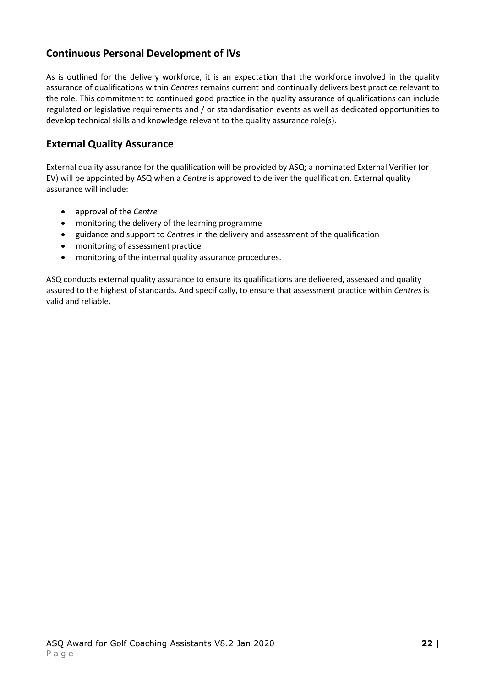# **Continuous Personal Development of IVs**

As is outlined for the delivery workforce, it is an expectation that the workforce involved in the quality assurance of qualifications within *Centres* remains current and continually delivers best practice relevant to the role. This commitment to continued good practice in the quality assurance of qualifications can include regulated or legislative requirements and / or standardisation events as well as dedicated opportunities to develop technical skills and knowledge relevant to the quality assurance role(s).

#### **External Quality Assurance**

External quality assurance for the qualification will be provided by ASQ; a nominated External Verifier (or EV) will be appointed by ASQ when a *Centre* is approved to deliver the qualification. External quality assurance will include:

- approval of the *Centre*
- monitoring the delivery of the learning programme
- guidance and support to *Centres* in the delivery and assessment of the qualification
- monitoring of assessment practice
- monitoring of the internal quality assurance procedures.

<span id="page-21-0"></span>ASQ conducts external quality assurance to ensure its qualifications are delivered, assessed and quality assured to the highest of standards. And specifically, to ensure that assessment practice within *Centres* is valid and reliable.